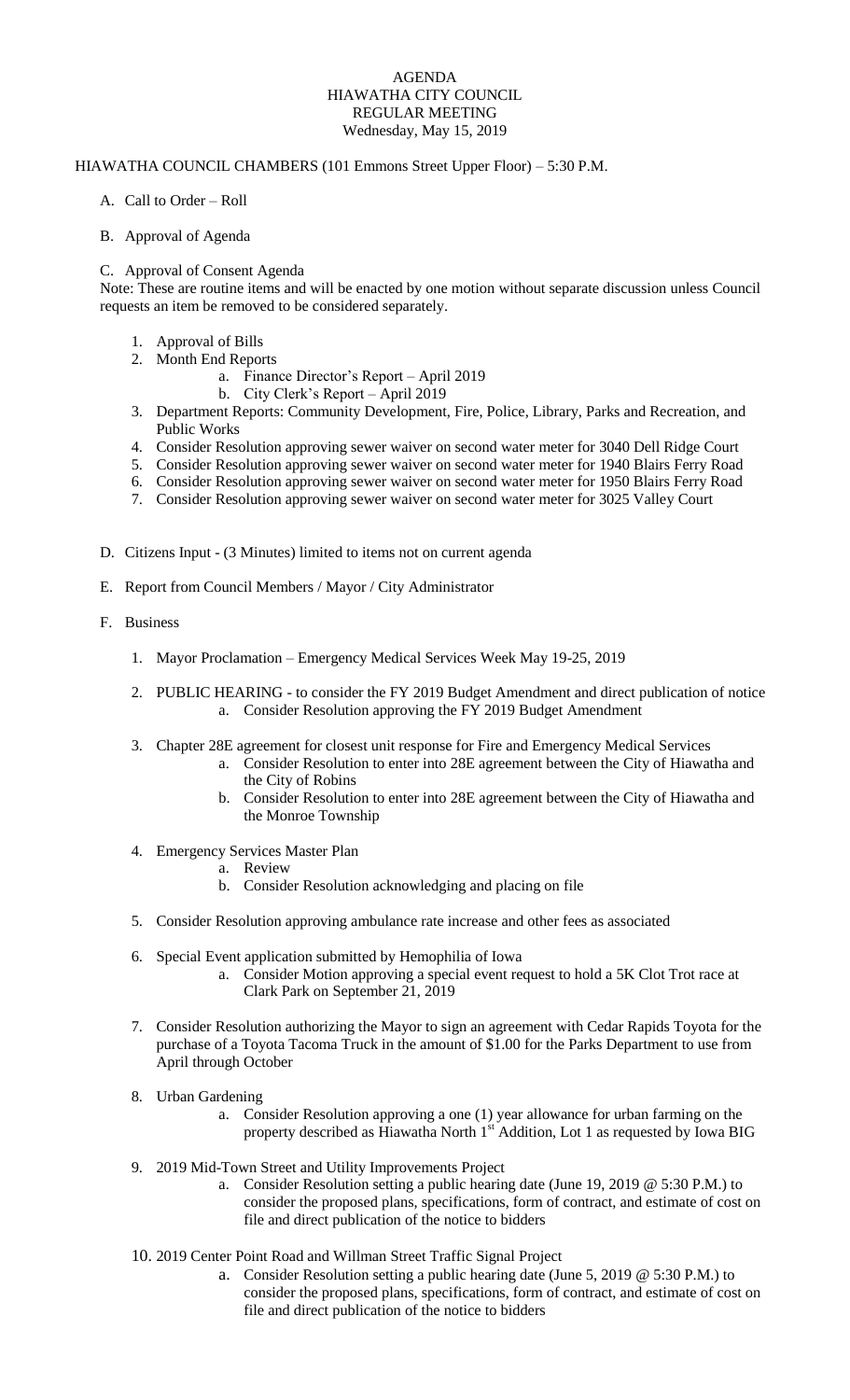## AGENDA HIAWATHA CITY COUNCIL REGULAR MEETING Wednesday, May 15, 2019

## HIAWATHA COUNCIL CHAMBERS (101 Emmons Street Upper Floor) – 5:30 P.M.

- A. Call to Order Roll
- B. Approval of Agenda

## C. Approval of Consent Agenda

Note: These are routine items and will be enacted by one motion without separate discussion unless Council requests an item be removed to be considered separately.

- 1. Approval of Bills
- 2. Month End Reports
	- a. Finance Director's Report April 2019
		- b. City Clerk's Report April 2019
- 3. Department Reports: Community Development, Fire, Police, Library, Parks and Recreation, and Public Works
- 4. Consider Resolution approving sewer waiver on second water meter for 3040 Dell Ridge Court
- 5. Consider Resolution approving sewer waiver on second water meter for 1940 Blairs Ferry Road
- 6. Consider Resolution approving sewer waiver on second water meter for 1950 Blairs Ferry Road
- 7. Consider Resolution approving sewer waiver on second water meter for 3025 Valley Court
- D. Citizens Input (3 Minutes) limited to items not on current agenda
- E. Report from Council Members / Mayor / City Administrator
- F. Business
	- 1. Mayor Proclamation Emergency Medical Services Week May 19-25, 2019
	- 2. PUBLIC HEARING to consider the FY 2019 Budget Amendment and direct publication of notice a. Consider Resolution approving the FY 2019 Budget Amendment
	- 3. Chapter 28E agreement for closest unit response for Fire and Emergency Medical Services
		- a. Consider Resolution to enter into 28E agreement between the City of Hiawatha and the City of Robins
		- b. Consider Resolution to enter into 28E agreement between the City of Hiawatha and the Monroe Township
	- 4. Emergency Services Master Plan
		- a. Review
		- b. Consider Resolution acknowledging and placing on file
	- 5. Consider Resolution approving ambulance rate increase and other fees as associated
	- 6. Special Event application submitted by Hemophilia of Iowa
		- a. Consider Motion approving a special event request to hold a 5K Clot Trot race at Clark Park on September 21, 2019
	- 7. Consider Resolution authorizing the Mayor to sign an agreement with Cedar Rapids Toyota for the purchase of a Toyota Tacoma Truck in the amount of \$1.00 for the Parks Department to use from April through October
	- 8. Urban Gardening
		- a. Consider Resolution approving a one (1) year allowance for urban farming on the property described as Hiawatha North 1st Addition, Lot 1 as requested by Iowa BIG
	- 9. 2019 Mid-Town Street and Utility Improvements Project
		- a. Consider Resolution setting a public hearing date (June 19, 2019 @ 5:30 P.M.) to consider the proposed plans, specifications, form of contract, and estimate of cost on file and direct publication of the notice to bidders
	- 10. 2019 Center Point Road and Willman Street Traffic Signal Project
		- a. Consider Resolution setting a public hearing date (June 5, 2019 @ 5:30 P.M.) to consider the proposed plans, specifications, form of contract, and estimate of cost on file and direct publication of the notice to bidders